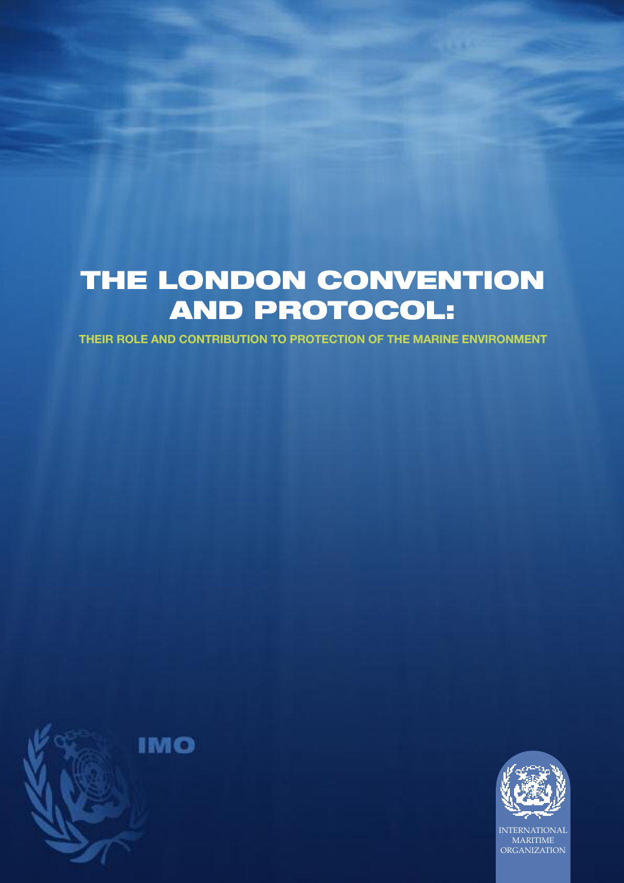# **THE LONDON CONVENTION AND PROTOCOL:**

**THEIR ROLE AND CONTRIBUTION TO PROTECTION OF THE MARINE ENVIRONMENT**





INTERNATIONAL MARITIME ORGANIZATION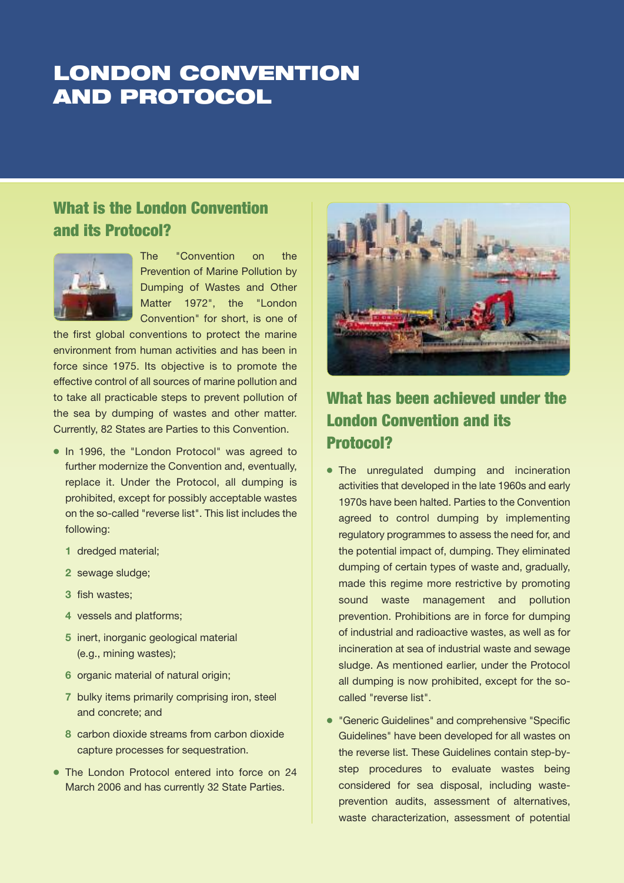## **LONDON CONVENTION AND PROTOCOL**

#### **What is the London Convention and its Protocol?**



The "Convention on the Prevention of Marine Pollution by Dumping of Wastes and Other Matter 1972", the "London Convention" for short, is one of

the first global conventions to protect the marine environment from human activities and has been in force since 1975. Its objective is to promote the effective control of all sources of marine pollution and to take all practicable steps to prevent pollution of the sea by dumping of wastes and other matter. Currently, 82 States are Parties to this Convention.

- In 1996, the "London Protocol" was agreed to further modernize the Convention and, eventually, replace it. Under the Protocol, all dumping is prohibited, except for possibly acceptable wastes on the so-called "reverse list". This list includes the following:
	- **1** dredged material;
	- **2** sewage sludge;
	- **3** fish wastes;
	- **4** vessels and platforms;
	- **5** inert, inorganic geological material (e.g., mining wastes);
	- **6** organic material of natural origin;
	- **7** bulky items primarily comprising iron, steel and concrete; and
	- **8** carbon dioxide streams from carbon dioxide capture processes for sequestration.
- The London Protocol entered into force on 24 March 2006 and has currently 32 State Parties.



#### **What has been achieved under the London Convention and its Protocol?**

- The unregulated dumping and incineration activities that developed in the late 1960s and early 1970s have been halted. Parties to the Convention agreed to control dumping by implementing regulatory programmes to assess the need for, and the potential impact of, dumping. They eliminated dumping of certain types of waste and, gradually, made this regime more restrictive by promoting sound waste management and pollution prevention. Prohibitions are in force for dumping of industrial and radioactive wastes, as well as for incineration at sea of industrial waste and sewage sludge. As mentioned earlier, under the Protocol all dumping is now prohibited, except for the socalled "reverse list".
- 4 "Generic Guidelines" and comprehensive "Specific Guidelines" have been developed for all wastes on the reverse list. These Guidelines contain step-bystep procedures to evaluate wastes being considered for sea disposal, including wasteprevention audits, assessment of alternatives, waste characterization, assessment of potential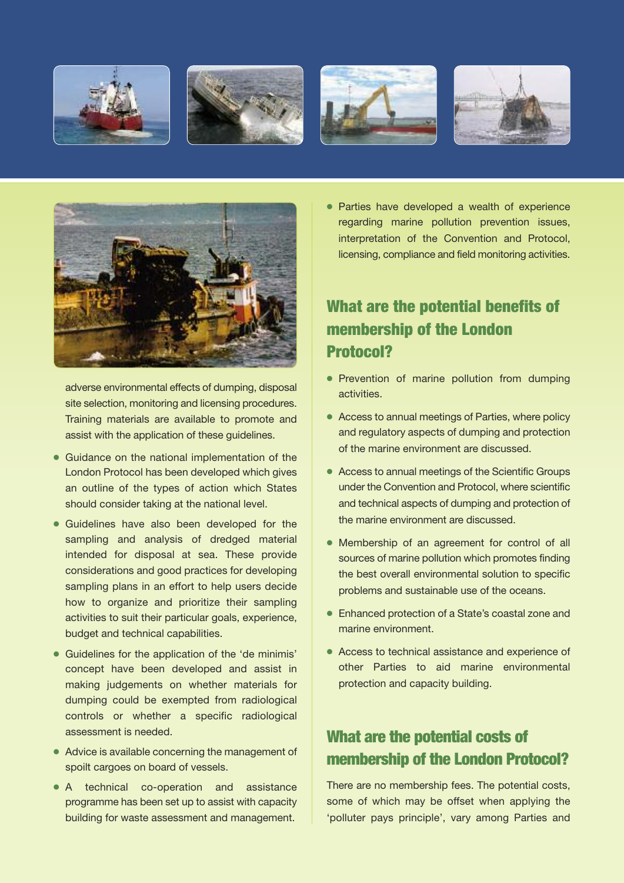









adverse environmental effects of dumping, disposal site selection, monitoring and licensing procedures. Training materials are available to promote and assist with the application of these guidelines.

- Guidance on the national implementation of the London Protocol has been developed which gives an outline of the types of action which States should consider taking at the national level.
- 4 Guidelines have also been developed for the sampling and analysis of dredged material intended for disposal at sea. These provide considerations and good practices for developing sampling plans in an effort to help users decide how to organize and prioritize their sampling activities to suit their particular goals, experience, budget and technical capabilities.
- 4 Guidelines for the application of the 'de minimis' concept have been developed and assist in making judgements on whether materials for dumping could be exempted from radiological controls or whether a specific radiological assessment is needed.
- Advice is available concerning the management of spoilt cargoes on board of vessels.
- 4 A technical co-operation and assistance programme has been set up to assist with capacity building for waste assessment and management.

4 Parties have developed a wealth of experience regarding marine pollution prevention issues, interpretation of the Convention and Protocol, licensing, compliance and field monitoring activities.

### **What are the potential benefits of membership of the London Protocol?**

- Prevention of marine pollution from dumping activities.
- 4 Access to annual meetings of Parties, where policy and regulatory aspects of dumping and protection of the marine environment are discussed.
- 4 Access to annual meetings of the Scientific Groups under the Convention and Protocol, where scientific and technical aspects of dumping and protection of the marine environment are discussed.
- 4 Membership of an agreement for control of all sources of marine pollution which promotes finding the best overall environmental solution to specific problems and sustainable use of the oceans.
- 4 Enhanced protection of a State's coastal zone and marine environment.
- 4 Access to technical assistance and experience of other Parties to aid marine environmental protection and capacity building.

#### **What are the potential costs of membership of the London Protocol?**

There are no membership fees. The potential costs, some of which may be offset when applying the 'polluter pays principle', vary among Parties and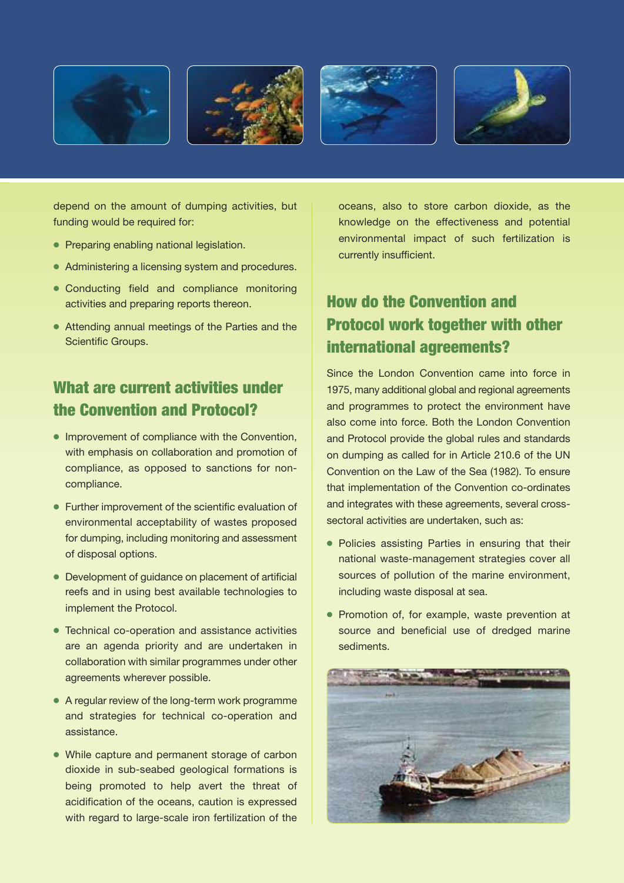







depend on the amount of dumping activities, but funding would be required for:

- Preparing enabling national legislation.
- Administering a licensing system and procedures.
- Conducting field and compliance monitoring activities and preparing reports thereon.
- Attending annual meetings of the Parties and the Scientific Groups.

#### **What are current activities under the Convention and Protocol?**

- 4 Improvement of compliance with the Convention, with emphasis on collaboration and promotion of compliance, as opposed to sanctions for noncompliance.
- 4 Further improvement of the scientific evaluation of environmental acceptability of wastes proposed for dumping, including monitoring and assessment of disposal options.
- 4 Development of guidance on placement of artificial reefs and in using best available technologies to implement the Protocol.
- 4 Technical co-operation and assistance activities are an agenda priority and are undertaken in collaboration with similar programmes under other agreements wherever possible.
- 4 A regular review of the long-term work programme and strategies for technical co-operation and assistance.
- While capture and permanent storage of carbon dioxide in sub-seabed geological formations is being promoted to help avert the threat of acidification of the oceans, caution is expressed with regard to large-scale iron fertilization of the

oceans, also to store carbon dioxide, as the knowledge on the effectiveness and potential environmental impact of such fertilization is currently insufficient.

### **How do the Convention and Protocol work together with other international agreements?**

Since the London Convention came into force in 1975, many additional global and regional agreements and programmes to protect the environment have also come into force. Both the London Convention and Protocol provide the global rules and standards on dumping as called for in Article 210.6 of the UN Convention on the Law of the Sea (1982). To ensure that implementation of the Convention co-ordinates and integrates with these agreements, several crosssectoral activities are undertaken, such as:

- Policies assisting Parties in ensuring that their national waste-management strategies cover all sources of pollution of the marine environment, including waste disposal at sea.
- Promotion of, for example, waste prevention at source and beneficial use of dredged marine sediments.

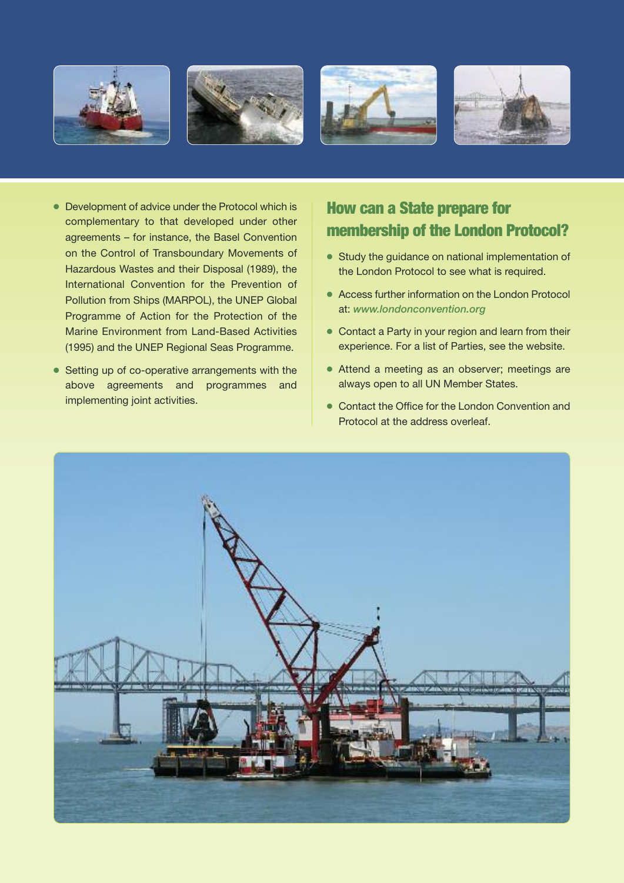







- 4 Development of advice under the Protocol which is complementary to that developed under other agreements – for instance, the Basel Convention on the Control of Transboundary Movements of Hazardous Wastes and their Disposal (1989), the International Convention for the Prevention of Pollution from Ships (MARPOL), the UNEP Global Programme of Action for the Protection of the Marine Environment from Land-Based Activities (1995) and the UNEP Regional Seas Programme.
- Setting up of co-operative arrangements with the above agreements and programmes and implementing joint activities.

### **How can a State prepare for membership of the London Protocol?**

- Study the guidance on national implementation of the London Protocol to see what is required.
- 4 Access further information on the London Protocol at: *www.londonconvention.org*
- Contact a Party in your region and learn from their experience. For a list of Parties, see the website.
- Attend a meeting as an observer; meetings are always open to all UN Member States.
- Contact the Office for the London Convention and Protocol at the address overleaf.